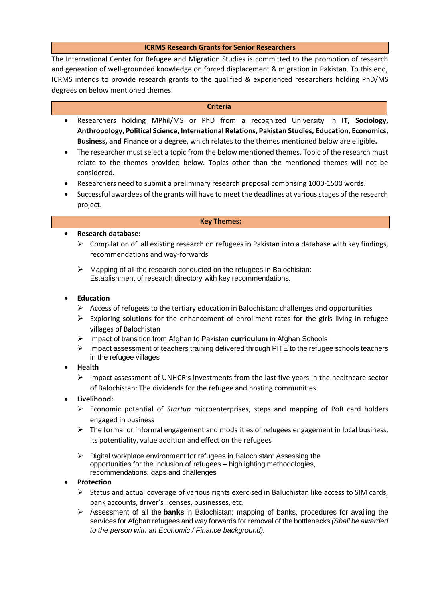# **ICRMS Research Grants for Senior Researchers**

The International Center for Refugee and Migration Studies is committed to the promotion of research and geneation of well-grounded knowledge on forced displacement & migration in Pakistan. To this end, ICRMS intends to provide research grants to the qualified & experienced researchers holding PhD/MS degrees on below mentioned themes.

#### **Criteria**

- Researchers holding MPhil/MS or PhD from a recognized University in **IT, Sociology, Anthropology, Political Science, International Relations, Pakistan Studies, Education, Economics, Business, and Finance** or a degree, which relates to the themes mentioned below are eligible**.**
- The researcher must select a topic from the below mentioned themes. Topic of the research must relate to the themes provided below. Topics other than the mentioned themes will not be considered.
- Researchers need to submit a preliminary research proposal comprising 1000-1500 words.
- Successful awardees of the grants will have to meet the deadlines at various stages of the research project.

#### **Key Themes:**

#### **Research database:**

- $\triangleright$  Compilation of all existing research on refugees in Pakistan into a database with key findings, recommendations and way-forwards
- $\triangleright$  Mapping of all the research conducted on the refugees in Balochistan: Establishment of research directory with key recommendations.

## **Education**

- $\triangleright$  Access of refugees to the tertiary education in Balochistan: challenges and opportunities
- $\triangleright$  Exploring solutions for the enhancement of enrollment rates for the girls living in refugee villages of Balochistan
- Impact of transition from Afghan to Pakistan **curriculum** in Afghan Schools
- $\triangleright$  Impact assessment of teachers training delivered through PITE to the refugee schools teachers in the refugee villages

## **Health**

- $\triangleright$  Impact assessment of UNHCR's investments from the last five years in the healthcare sector of Balochistan: The dividends for the refugee and hosting communities.
- **Livelihood:**
	- Economic potential of *Startup* microenterprises, steps and mapping of PoR card holders engaged in business
	- $\triangleright$  The formal or informal engagement and modalities of refugees engagement in local business, its potentiality, value addition and effect on the refugees
	- $\triangleright$  Digital workplace environment for refugees in Balochistan: Assessing the opportunities for the inclusion of refugees – highlighting methodologies, recommendations, gaps and challenges

## **Protection**

- $\triangleright$  Status and actual coverage of various rights exercised in Baluchistan like access to SIM cards, bank accounts, driver's licenses, businesses, etc.
- Assessment of all the **banks** in Balochistan: mapping of banks, procedures for availing the services for Afghan refugees and way forwards for removal of the bottlenecks *(Shall be awarded to the person with an Economic / Finance background).*